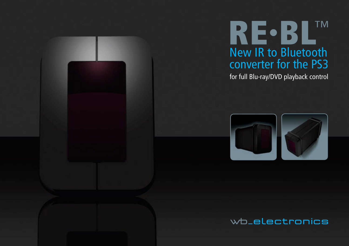



for full Blu-ray/DVD playback control





## wb\_electronics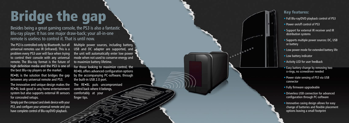## Bridge the gap

Besides being a great gaming console, the PS3 is also a fantastic Blu-ray player. It has one major draw-back; your all-in-one remote is useless to control it. That is until now.

The PS3 is controlled only by Bluetooth, but all universal remotes use IR (infrared). This is a problem every PS3 user will face when trying to control their console with any universal remote. The Blu-ray format is the future of high definition media and the PS3 is one of the best Blu-ray players on the market.

RE•BL is the solution that bridges the gap between any universal remote and PS3.

For those looking to maximize control, the RE•BL offers advanced configuration options by the accompanying PC-software, through the built-in USB 2.0 port.

The innovative and unique design makes the RE•BL look good in any home entertainment system but also supports external IR sensors for concealed setups.

Simply pair the compact and sleek device with your PS3, and configure your universal remote and you have complete control of Blu-ray/DVD playback.

Multiple power sources, including battery, USB and DC adapter are supported, and the unit will automatically enter low power mode when not used to conserve energy and to maximize battery lifetime.

The RE•BL puts uncompromised control back where it belongs, comfortably at your finger tips.



## Key features:

- Full Blu-ray/DVD playback control of PS3
- Power on/off control of PS3
- Support for external IR receiver and IR distribution systems
- Supports multiple power sources: DC, USB or battery
- Low power mode for extended battery life
- Low battery indicator
- Activity LED for user feedback
- Easy battery-change by removing two o-rings, no screwdriver needed
- Power state sensing of PS3 via USB connector
- Fully firmware upgradeable
- Driverless USB connection for advanced configuration through PC-software
- Innovative casing design allows for easy change of batteries and flexible placement options leaving a small footprint